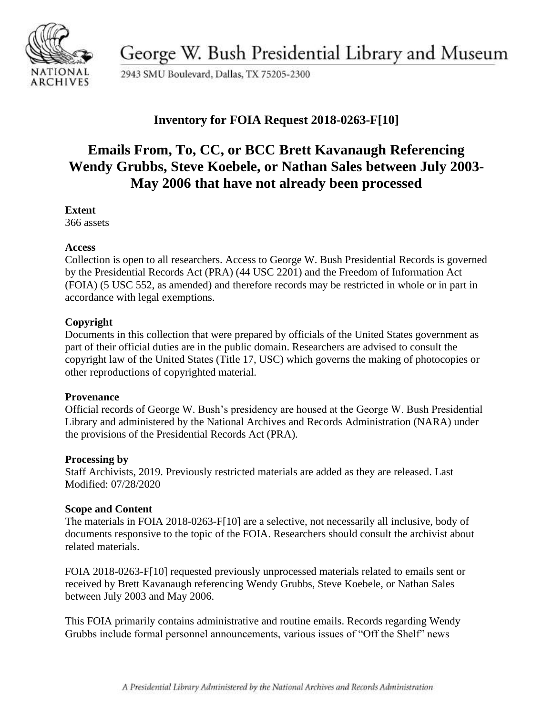

George W. Bush Presidential Library and Museum

2943 SMU Boulevard, Dallas, TX 75205-2300

## **Inventory for FOIA Request 2018-0263-F[10]**

# **Emails From, To, CC, or BCC Brett Kavanaugh Referencing Wendy Grubbs, Steve Koebele, or Nathan Sales between July 2003- May 2006 that have not already been processed**

#### **Extent**

366 assets

#### **Access**

Collection is open to all researchers. Access to George W. Bush Presidential Records is governed by the Presidential Records Act (PRA) (44 USC 2201) and the Freedom of Information Act (FOIA) (5 USC 552, as amended) and therefore records may be restricted in whole or in part in accordance with legal exemptions.

## **Copyright**

Documents in this collection that were prepared by officials of the United States government as part of their official duties are in the public domain. Researchers are advised to consult the copyright law of the United States (Title 17, USC) which governs the making of photocopies or other reproductions of copyrighted material.

#### **Provenance**

 Official records of George W. Bush's presidency are housed at the George W. Bush Presidential Library and administered by the National Archives and Records Administration (NARA) under the provisions of the Presidential Records Act (PRA).

#### **Processing by**

Staff Archivists, 2019. Previously restricted materials are added as they are released. Last Modified: 07/28/2020

## **Scope and Content**

The materials in FOIA 2018-0263-F[10] are a selective, not necessarily all inclusive, body of documents responsive to the topic of the FOIA. Researchers should consult the archivist about related materials.

FOIA 2018-0263-F[10] requested previously unprocessed materials related to emails sent or received by Brett Kavanaugh referencing Wendy Grubbs, Steve Koebele, or Nathan Sales between July 2003 and May 2006.

This FOIA primarily contains administrative and routine emails. Records regarding Wendy Grubbs include formal personnel announcements, various issues of "Off the Shelf" news